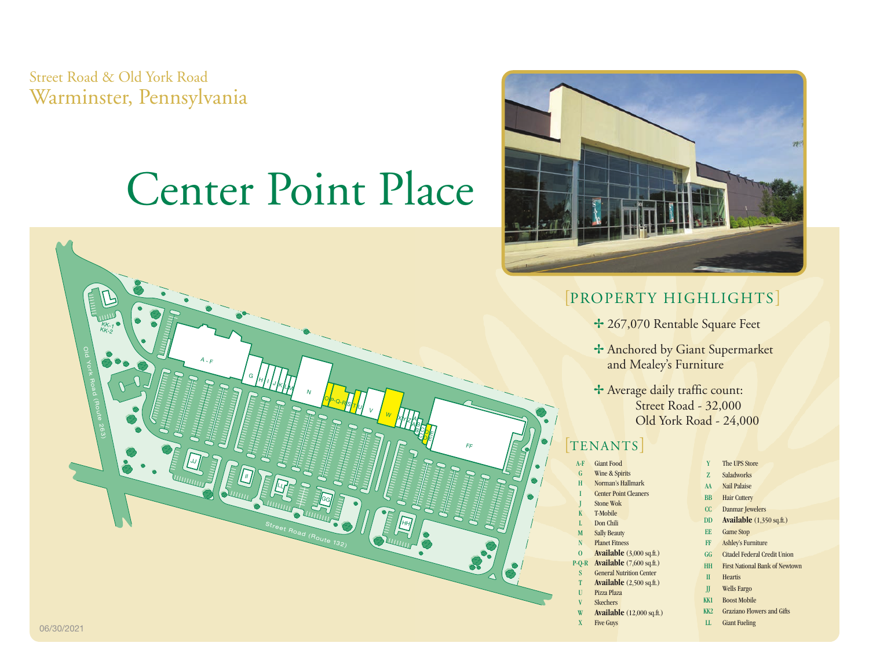Street Road & Old York Road Warminster, Pennsylvania

# Center Point Place





#### [PROPERTY HIGHLIGHTS]

- + 267,070 Rentable Square Feet
- + Anchored by Giant Supermarket and Mealey's Furniture
- + Average daily traffic count: Street Road - 32,000 Old York Road - 24,000

#### **TENANTS**

- Giant Food Wine & Spirits Norman's Hallmark **Center Point Cleaners** Stone Wok T-Mobile Don Chili **Sally Beauty Planet Fitness** O **Available** (3,000 sq.ft.) P-Q-R **Available** (7,600 sq.ft.) **General Nutrition Center Available** (2,500 sq.ft.) Pizza Plaza Skechers Y The UPS Store Z Saladworks AA Nail Palaise BB Hair Cuttery CC Danmar Jewelers EE Game Stop FF Ashley's Furniture GG Citadel Federal Credit Union HH First National Bank of Newtown II Heartis JJ Wells Fargo KK1 Boost Mobile
- W **Available** (12,000 sq.ft.)
- X Five Guys
- 
- DD **Available** (1,350 sq.ft.)
- 
- 
- 
- KK2 Graziano Flowers and Gifts
-